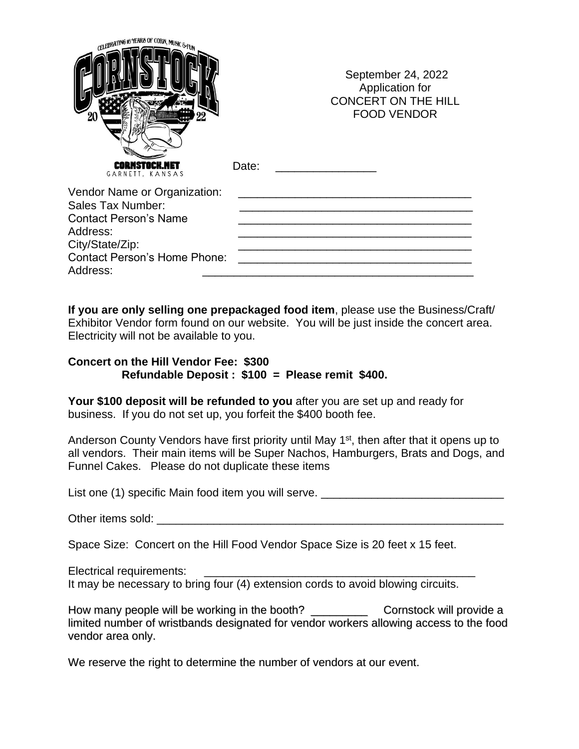| CELEBRATING 16 YEARS OF CORN, MUSIC & FUN<br>20                                                                                                              |       | September 24, 2022<br>Application for<br><b>CONCERT ON THE HILL</b><br><b>FOOD VENDOR</b> |
|--------------------------------------------------------------------------------------------------------------------------------------------------------------|-------|-------------------------------------------------------------------------------------------|
| GARNETT, KANSAS                                                                                                                                              | Date: |                                                                                           |
| Vendor Name or Organization:<br>Sales Tax Number:<br><b>Contact Person's Name</b><br>Address:<br>City/State/Zip:<br>Contact Person's Home Phone:<br>Address: |       |                                                                                           |

**If you are only selling one prepackaged food item**, please use the Business/Craft/ Exhibitor Vendor form found on our website. You will be just inside the concert area. Electricity will not be available to you.

## **Concert on the Hill Vendor Fee: \$300 Refundable Deposit : \$100 = Please remit \$400.**

Your \$100 deposit will be refunded to you after you are set up and ready for business. If you do not set up, you forfeit the \$400 booth fee.

Anderson County Vendors have first priority until May 1<sup>st</sup>, then after that it opens up to all vendors. Their main items will be Super Nachos, Hamburgers, Brats and Dogs, and Funnel Cakes. Please do not duplicate these items

List one (1) specific Main food item you will serve. \_\_\_\_\_\_\_\_\_\_\_\_\_\_\_\_\_\_\_\_\_\_\_\_\_\_\_

Other items sold: \_\_\_\_\_\_\_\_\_\_\_\_\_\_\_\_\_\_\_\_\_\_\_\_\_\_\_\_\_\_\_\_\_\_\_\_\_\_\_\_\_\_\_\_\_\_\_\_\_\_\_\_\_\_\_

Space Size: Concert on the Hill Food Vendor Space Size is 20 feet x 15 feet.

Electrical requirements: It may be necessary to bring four (4) extension cords to avoid blowing circuits.

How many people will be working in the booth? \_\_\_\_\_\_\_\_\_ Cornstock will provide a limited number of wristbands designated for vendor workers allowing access to the food vendor area only.

We reserve the right to determine the number of vendors at our event.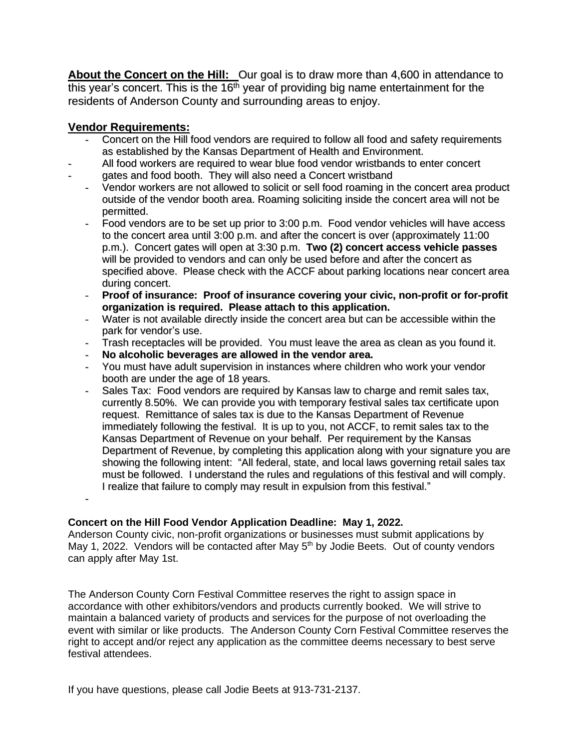**About the Concert on the Hill:** Our goal is to draw more than 4,600 in attendance to this year's concert. This is the 16<sup>th</sup> year of providing big name entertainment for the residents of Anderson County and surrounding areas to enjoy.

## **Vendor Requirements:**

-

- Concert on the Hill food vendors are required to follow all food and safety requirements as established by the Kansas Department of Health and Environment.
- All food workers are required to wear blue food vendor wristbands to enter concert
- gates and food booth. They will also need a Concert wristband
	- Vendor workers are not allowed to solicit or sell food roaming in the concert area product outside of the vendor booth area. Roaming soliciting inside the concert area will not be permitted.
	- Food vendors are to be set up prior to 3:00 p.m. Food vendor vehicles will have access to the concert area until 3:00 p.m. and after the concert is over (approximately 11:00 p.m.). Concert gates will open at 3:30 p.m. **Two (2) concert access vehicle passes** will be provided to vendors and can only be used before and after the concert as specified above. Please check with the ACCF about parking locations near concert area during concert.
	- **Proof of insurance: Proof of insurance covering your civic, non-profit or for-profit organization is required. Please attach to this application.**
	- Water is not available directly inside the concert area but can be accessible within the park for vendor's use.
	- Trash receptacles will be provided. You must leave the area as clean as you found it.
	- **No alcoholic beverages are allowed in the vendor area.**
	- You must have adult supervision in instances where children who work your vendor booth are under the age of 18 years.
	- Sales Tax: Food vendors are required by Kansas law to charge and remit sales tax, currently 8.50%. We can provide you with temporary festival sales tax certificate upon request. Remittance of sales tax is due to the Kansas Department of Revenue immediately following the festival. It is up to you, not ACCF, to remit sales tax to the Kansas Department of Revenue on your behalf. Per requirement by the Kansas Department of Revenue, by completing this application along with your signature you are showing the following intent: "All federal, state, and local laws governing retail sales tax must be followed. I understand the rules and regulations of this festival and will comply. I realize that failure to comply may result in expulsion from this festival."

## **Concert on the Hill Food Vendor Application Deadline: May 1, 2022.**

Anderson County civic, non-profit organizations or businesses must submit applications by May 1, 2022. Vendors will be contacted after May 5<sup>th</sup> by Jodie Beets. Out of county vendors can apply after May 1st.

The Anderson County Corn Festival Committee reserves the right to assign space in accordance with other exhibitors/vendors and products currently booked. We will strive to maintain a balanced variety of products and services for the purpose of not overloading the event with similar or like products. The Anderson County Corn Festival Committee reserves the right to accept and/or reject any application as the committee deems necessary to best serve festival attendees.

If you have questions, please call Jodie Beets at 913-731-2137.